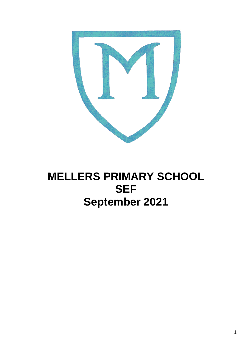

# **MELLERS PRIMARY SCHOOL SEF September 2021**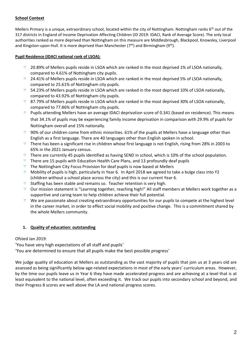## **School Context**

Mellers Primary is a unique, extraordinary school, located within the city of Nottingham. Nottingham ranks 6<sup>th</sup> out of the 317 districts in England of Income Deprivation Affecting Children (ID 2019: IDACI, Rank of Average Score). The only local authorities ranked as more deprived than Nottingham on this measure are Middlesbrough, Blackpool, Knowsley, Liverpool and Kingston-upon-Hull. It is more deprived than Manchester ( $7<sup>th</sup>$ ) and Birmingham ( $9<sup>th</sup>$ ).

#### **Pupil Residence (IDACI national rank of LSOA):**

- $\qquad \qquad \text{or} \qquad \qquad$ 20.89% of Mellers pupils reside in LSOA which are ranked in the most deprived 1% of LSOA nationally, compared to 4.61% of Nottingham city pupils.
- $\overline{2}$  24.41% of Mellers pupils reside in LSOA which are ranked in the most deprived 5% of LSOA nationally, compared to 25.61% of Nottingham city pupils.
- $\bigcirc$ 54.23% of Mellers pupils reside in LSOA which are ranked in the most deprived 10% of LSOA nationally, compared to 43.92% of Nottingham city pupils.
- $\%$  87.79% of Mellers pupils reside in LSOA which are ranked in the most deprived 30% of LSOA nationally, compared to 77.86% of Nottingham city pupils.
- $\overline{\mathbb{M}}$ Pupils attending Mellers have an average IDACI deprivation score of 0.341 (based on residence). This means that 34.1% of pupils may be experiencing family income deprivation in comparison with 29.9% of pupils for Nottingham overall and 15% nationally.
- $\qquad \qquad \text{or} \qquad \qquad$ 90% of our children come from ethnic minorities. 61% of the pupils at Mellers have a language other than English as a first language. There are 40 languages other than English spoken in school.
- $\boxed{N}$ There has been a significant rise in children whose first language is not English, rising from 28% in 2003 to 65% in the 2021 January census.
- There are currently 45 pupils identified as having SEND in school, which is 10% of the school population.  $\Box$
- $\bigtriangledown$ There are 15 pupils with Education Health Care Plans, and 13 profoundly deaf pupils
- $\qquad \qquad \text{or} \qquad \qquad$ The Nottingham City Focus Provision for deaf pupils is now based at Mellers
- $\Box$ Mobility of pupils is high, particularly in Year 6. In April 2018 we agreed to take a bulge class into Y2 (children without a school place across the city) and this is our current Year 6.
- $\bigcirc$ Staffing has been stable and remains so. Teacher retention is very high.
- $\degree$  Our mission statement is "Learning together, reaching high!" All staff members at Mellers work together as a supportive and caring team to help children achieve their full potential.
- $\qquad \qquad \text{or} \qquad \qquad$ We are passionate about creating extraordinary opportunities for our pupils to compete at the highest level in the career market, in order to effect social mobility and positive change. This is a commitment shared by the whole Mellers community.

### **1. Quality of education: outstanding**

### Ofsted Jan 2019:

'You have very high expectations of all staff and pupils'

'You are determined to ensure that all pupils make the best possible progress'

We judge quality of education at Mellers as outstanding as the vast majority of pupils that join us at 3 years old are assessed as being significantly below age-related expectations in most of the early years' curriculum areas. However, by the time our pupils leave us in Year 6 they have made accelerated progress and are achieving at a level that is at least equivalent to the national level, often exceeding it. We track our pupils into secondary school and beyond, and their Progress 8 scores are well above the LA and national progress scores.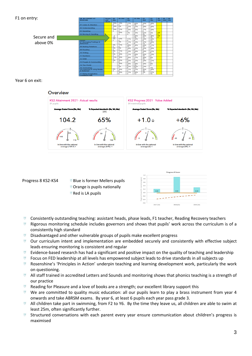### F1 on entry:

| Itrv:      | <b>38 IN CONCRY AT</b><br><b><i>BASELINE</i></b> | <b>Services</b><br>ared<br>adverse | 14-<br>2444 | 16-36d           | 3.644<br>364 | 22-360    | $22.5 -$<br>34-4  | $22 -$<br>344        | 30.<br><b>Solidan</b> | <b>BOL</b><br><b>SOM</b> | $-30-$<br><b>Book</b> |
|------------|--------------------------------------------------|------------------------------------|-------------|------------------|--------------|-----------|-------------------|----------------------|-----------------------|--------------------------|-----------------------|
|            | <b>OT Listen &amp; Attention</b>                 |                                    |             | 16% 13%          | 11%          | 26%       | 16%               | 18%                  |                       |                          |                       |
|            | 02 Understanding                                 |                                    | 16%<br>n    | 185              | 21%          | 21%       | 18%               | 18%                  |                       |                          |                       |
|            | 03 Speaking                                      |                                    | 1.4%        | 111%             | 14%          | 25/%      | 17%<br>e.         | 19%                  |                       |                          |                       |
|            | 04 Moving & Handling                             |                                    |             | 10%<br>÷         | 7%           | 15/%      | 61%<br>26         | 6%                   | 2%                    |                          |                       |
| Secure and |                                                  |                                    | 袋           |                  |              | 26%<br>10 | 20%<br>11         | 38%<br>15            | 5%                    |                          |                       |
|            | <b>Contractor</b>                                |                                    |             | 13%              | 11%          | 16%       | 24%<br>$^{12}$    | 34%<br>13            |                       |                          |                       |
| above 0%   | 07 Managing Feelings &<br><b>Behaviour</b>       |                                    |             | 35               | 11%          | 23%       | 37%<br>13         | 26%<br>$\rightarrow$ |                       |                          |                       |
|            | 08 Making Relations                              |                                    | 3%          | 33%              | 29%<br>ŦŦ.   | 18%       | 29%<br>$+1$       | 55%                  |                       |                          |                       |
|            | 03 Reading                                       |                                    | 6%          | W.               | <b>15%</b>   | 22%       | 25%               | 19%                  |                       |                          |                       |
|            | 10 Writing                                       |                                    | 85          | <b>TYN</b>       | 13%          | 24%       | 24%<br>19         | 21%                  |                       |                          |                       |
|            | 11 Numbers                                       |                                    | 5%          | 16%              | 11%          | 29%<br>11 | 26%<br>70         | 13%                  |                       |                          |                       |
|            | 12 SSM                                           |                                    | 11%<br>×    | 16%              | 94/96        | 9.9%      | 39%<br><b>THE</b> | 856                  |                       |                          |                       |
|            | 13 People & Communities                          |                                    | Who         | 22%              | 22%          | 33%       | 19%               | 11%                  |                       |                          |                       |
|            | <b>14 The Weeld</b>                              |                                    |             | <b>TENC</b><br>a | 24%          | 34%       | 10%               | 0.76                 |                       |                          |                       |
|            | <b>15 Technology</b>                             |                                    |             | 35               | 21%          | 끍.        | 13%               | 5%                   |                       |                          |                       |
|            | 16 Exploring & using Media<br>A Materials        |                                    | 85          | 16%              | 11%          | $2 + 96$  | 26%               | 18%                  |                       |                          |                       |
|            | 17 Being Imaginative                             |                                    |             | <b>YEN</b>       | 11%          | 34%       | 呉                 | 37%<br>54            |                       |                          |                       |
|            |                                                  |                                    |             |                  |              |           |                   |                      |                       |                          |                       |

Year 6 on exit:

#### Overview





- Consistently outstanding teaching: assistant heads, phase leads, F1 teacher, Reading Recovery teachers  $\bigtriangledown$
- $\bigcirc$ Rigorous monitoring schedule includes governors and shows that pupils' work across the curriculum is of a consistently high standard
- $\boxed{M}$ Disadvantaged and other vulnerable groups of pupils make excellent progress
- $\overline{M}$ Our curriculum intent and implementation are embedded securely and consistently with effective subject leads ensuring monitoring is consistent and regular
- $\overline{\mathbb{M}}$ Evidence-based research has had a significant and positive impact on the quality of teaching and leadership
- $\qquad \qquad \text{or} \qquad \qquad$ Focus on FED leadership at all levels has empowered subject leads to drive standards in all subjects up
- $\qquad \qquad \text{or} \qquad \qquad$ Rosenshine's 'Principles in Action' underpin teaching and learning development work, particularly the work on questioning.
- $\bigcirc$ All staff trained in accredited Letters and Sounds and monitoring shows that phonics teaching is a strength of our practice
- $\boxed{M}$ Reading for Pleasure and a love of books are a strength; our excellent library support this
- $\overline{v}$  We are committed to quality music education: all our pupils learn to play a brass instrument from year 4 onwards and take ABRSM exams. By year 6, at least 6 pupils each year pass grade 3.
- $\circledcirc$ All children take part in swimming, from F2 to Y6. By the time they leave us, all children are able to swim at least 25m, often significantly further.
- $\qquad \qquad \text{or} \qquad \qquad$ Structured conversations with each parent every year ensure communication about children's progress is maximised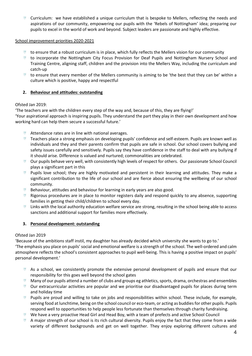Curriculum: we have established a unique curriculum that is bespoke to Mellers, reflecting the needs and aspirations of our community, empowering our pupils with the 'Rebels of Nottingham' idea; preparing our pupils to excel in the world of work and beyond. Subject leaders are passionate and highly effective.

#### School improvement priorities 2020-2021

- $\overline{v}$  to ensure that a robust curriculum is in place, which fully reflects the Mellers vision for our community
- $\overline{v}$  to incorporate the Nottingham City Focus Provision for Deaf Pupils and Nottingham Nursery School and Training Centre, aligning staff, children and the provision into the Mellers Way, including the curriculum and catch-up
- $\overline{v}$  to ensure that every member of the Mellers community is aiming to be 'the best that they can be' within a culture which is positive, happy and respectful

### **2. Behaviour and attitudes: outstanding**

### Ofsted Jan 2019:

'The teachers are with the children every step of the way and, because of this, they are flying!'

'Your aspirational approach is inspiring pupils. They understand the part they play in their own development and how working hard can help them secure a successful future.'

- Attendance rates are in line with national averages.
- $\circledcirc$ Teachers place a strong emphasis on developing pupils' confidence and self-esteem. Pupils are known well as individuals and they and their parents confirm that pupils are safe in school. Our school covers bullying and safety issues carefully and sensitively. Pupils say they have confidence in the staff to deal with any bullying if it should arise. Difference is valued and nurtured; commonalities are celebrated.
- $\qquad \qquad \text{or} \qquad \qquad$ Our pupils behave very well, with consistently high levels of respect for others. Our passionate School Council plays a significant part in this
- **Pupils love school; they are highly motivated and persistent in their learning and attitudes. They make a** significant contribution to the life of our school and are fierce about ensuring the wellbeing of our school community.
- Behaviour, attitudes and behaviour for learning in early years are also good.  $\Box$
- $\bigcirc$ Rigorous procedures are in place to monitor registers daily and respond quickly to any absence, supporting families in getting their child/children to school every day.
- $\Box$  Links with the local authority education welfare service are strong, resulting in the school being able to access sanctions and additional support for families more effectively.

### **3. Personal development: outstanding**

### Ofsted Jan 2019

'Because of the ambitions staff instil, my daughter has already decided which university she wants to go to.' 'The emphasis you place on pupils' social and emotional welfare is a strength of the school. The well-ordered and calm atmosphere reflects the school's consistent approaches to pupil well-being. This is having a positive impact on pupils'

personal development.'

- $\bigcirc$ As a school, we consistently promote the extensive personal development of pupils and ensure that our responsibility for this goes well beyond the school gates
- $\qquad \qquad \text{or} \qquad \qquad$ Many of our pupils attend a number of clubs and groups eg athletics, sports, drama, orchestras and ensembles
- $\degree$  Our extracurricular activities are popular and we prioritise our disadvantaged pupils for places during term and holiday time
- $\overline{v}$  Pupils are proud and willing to take on jobs and responsibilities within school. These include, for example, serving food at lunchtime, being on the school council or eco-team, or acting as buddies for other pupils. Pupils respond well to opportunities to help people less fortunate than themselves through charity fundraising.
- $\qquad \qquad \text{or} \qquad \qquad$ We have a very proactive Head Girl and Head Boy, with a team of prefects and active School Council
- A major strength of our school is its rich cultural diversity. Pupils enjoy the fact that they come from a wide variety of different backgrounds and get on well together. They enjoy exploring different cultures and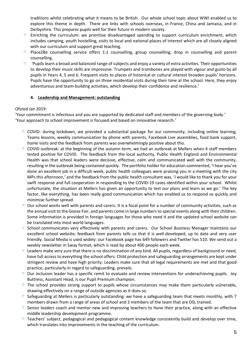traditions whilst celebrating what it means to be British. Our whole school topic about WWI enabled us to explore this theme in depth. There are links with schools overseas, in France, China and Jamaica, and in Derbyshire. This prepares pupils well for their future in modern society.

- Enriching the curriculum: we prioritise disadvantaged spending to support curriculum enrichment, which includes camping, youth hostelling, visits to local and national places of interest which are all closely aligned with our curriculum and support great teaching.
- Place2Be counselling service offers 1:1 counselling, group counselling, drop in counselling and parent  $\overline{\mathbb{M}}$ counselling.
- $\qquad \qquad \text{or} \qquad \qquad$ 'Pupils learn a broad and balanced range of subjects and enjoy a variety of extra activities. Their opportunities to develop their music skills are impressive. Trumpets and trombones are played with vigour and gusto by all pupils in Years 4, 5 and 6. Frequent visits to places of historical or cultural interest broaden pupils' horizons. Pupils have the opportunity to go on three residential visits during their time at the school. Here, they enjoy adventurous and team-building activities, which develop their confidence and resilience.'

# **4. Leadership and Management: outstanding**

### Ofsted Jan 2019:

'Your commitment is infectious and you are supported by dedicated staff and members of the governing body.' 'Your approach to school improvement is focused and based on innovative research.'

- COVID: during lockdown, we provided a substantial package for our community, including online learning, Teams lessons, weekly communication by phone with parents, Facebook Live assemblies, food bank support, home visits and the feedback from parents was overwhelmingly positive about this.
- COVID outbreak: at the beginning of the autumn term, we had an outbreak at Mellers when 4 staff members tested positive for COVID. The feedback from the local authority, Public Health England and Environmental Health was that school leaders were decisive, effective, calm and communicated well with the community, resulting in the outbreak being contained quickly. The portfolio holder for education commented, 'I hear you've done an excellent job in a difficult week, public health colleagues were praising you in a meeting with the city MPs this afternoon,' and the feedback from the public health consultant was, 'I would like to thank you for your swift response and full cooperation in responding to the COVID-19 cases identified within your school. Whilst unfortunate, the situation at Mellers has given an opportunity to test our plans and learn as we go.' The key factor, like everything, has been really good communication which has enabled us to respond so quickly and minimise further spread.
- Our school works well with parents and carers. It is a focal point for a number of community activities, such as the annual visit to the Goose Fair, and parents come in large numbers to special events along with their children. Some information is provided in foreign languages for those who need it and the updated school website can be translated into most world languages.
- $\qquad \qquad \text{or} \qquad \qquad$ School communicates very effectively with parents and carers. Our School Business Manager maintains our excellent school website; feedback from parents tells us that it is well-developed, up to date and very user friendly. Social Media is used widely: our Facebook page has 649 followers and Twitter has 510. We send out a weekly newsletter in Sway format, which is read by about 400 people each week.
- $\triangledown$  Leaders make very sure that there is no discrimination of any kind. All pupils, regardless of background or need, have full access to everything the school offers. Child protection and safeguarding arrangements are kept under stringent review and have high priority. Leaders make sure that all legal requirements are met and that good practice, particularly in regard to safeguarding, prevails.
- $\heartsuit$  Our inclusion leader has a specific remit to evaluate and review interventions for underachieving pupils. Joy Buttress, Assistant Head, is our Pupil Premium champion.
- $\overline{v}$  The school provides strong support to pupils whose circumstances may make them particularly vulnerable, drawing effectively on a range of outside agencies as it does so.
- $\heartsuit$  Safeguarding at Mellers is particularly outstanding: we have a safeguarding team that meets monthly, with 7 members drawn from a range of areas of school and 3 members of the team that are DSL trained.
- $\widehat{\mathbb{A}}$ Senior leaders coach and mentor new and improving teachers to hone their practice, along with an effective middle leadership development programme.
- Teachers' subject, pedagogical and pedagogical content knowledge consistently build and develop over time, which translates into improvements in the teaching of the curriculum.